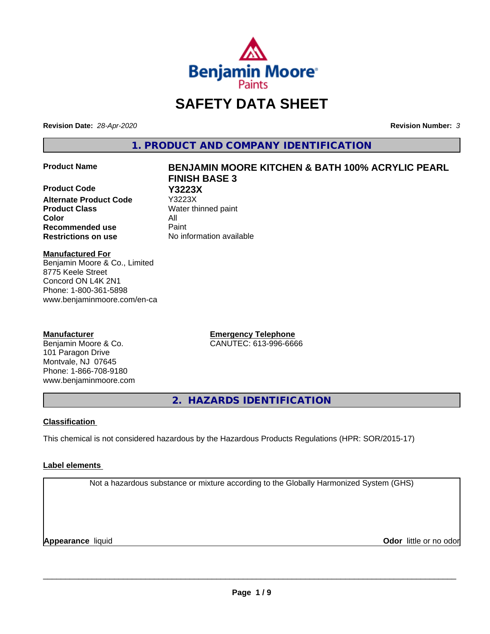

# **SAFETY DATA SHEET**

**Revision Date:** *28-Apr-2020* **Revision Number:** *3*

**1. PRODUCT AND COMPANY IDENTIFICATION**

**Product Code Y3223X Alternate Product Code Product Class** Water thinned paint **Color** All **Recommended use** Paint **Restrictions on use** No information available

# **Product Name BENJAMIN MOORE KITCHEN & BATH 100% ACRYLIC PEARL FINISH BASE 3**

**Manufactured For** Benjamin Moore & Co., Limited

8775 Keele Street Concord ON L4K 2N1 Phone: 1-800-361-5898 www.benjaminmoore.com/en-ca

### **Manufacturer**

Benjamin Moore & Co. 101 Paragon Drive Montvale, NJ 07645 Phone: 1-866-708-9180 www.benjaminmoore.com **Emergency Telephone** CANUTEC: 613-996-6666

**2. HAZARDS IDENTIFICATION**

### **Classification**

This chemical is not considered hazardous by the Hazardous Products Regulations (HPR: SOR/2015-17)

### **Label elements**

Not a hazardous substance or mixture according to the Globally Harmonized System (GHS)

**Appearance** liquid

**Odor** little or no odor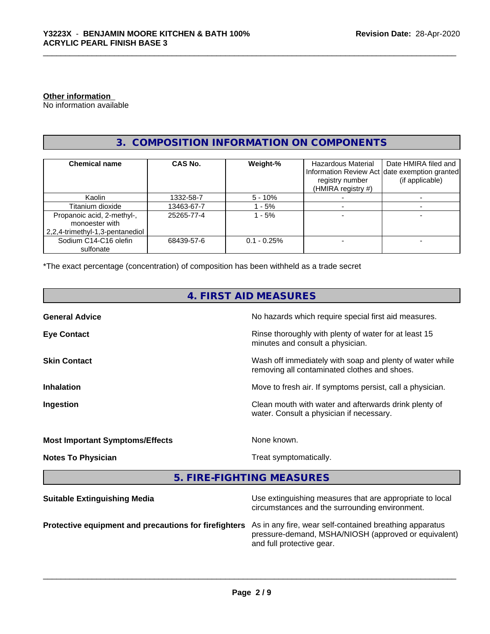### **Other information**

No information available

### **3. COMPOSITION INFORMATION ON COMPONENTS**

| <b>Chemical name</b>                                                              | CAS No.    | Weight-%       | <b>Hazardous Material</b><br>registry number<br>(HMIRA registry #) | Date HMIRA filed and<br>Information Review Act date exemption granted<br>(if applicable) |
|-----------------------------------------------------------------------------------|------------|----------------|--------------------------------------------------------------------|------------------------------------------------------------------------------------------|
| Kaolin                                                                            | 1332-58-7  | $5 - 10\%$     |                                                                    |                                                                                          |
| Titanium dioxide                                                                  | 13463-67-7 | - 5%           |                                                                    |                                                                                          |
| Propanoic acid, 2-methyl-,<br>monoester with<br>  2,2,4-trimethyl-1,3-pentanediol | 25265-77-4 | - 5%           |                                                                    |                                                                                          |
| Sodium C14-C16 olefin<br>sulfonate                                                | 68439-57-6 | $0.1 - 0.25\%$ |                                                                    |                                                                                          |

\*The exact percentage (concentration) of composition has been withheld as a trade secret

### **4. FIRST AID MEASURES**

| <b>General Advice</b>                  | No hazards which require special first aid measures.                                                     |
|----------------------------------------|----------------------------------------------------------------------------------------------------------|
| <b>Eye Contact</b>                     | Rinse thoroughly with plenty of water for at least 15<br>minutes and consult a physician.                |
| <b>Skin Contact</b>                    | Wash off immediately with soap and plenty of water while<br>removing all contaminated clothes and shoes. |
| <b>Inhalation</b>                      | Move to fresh air. If symptoms persist, call a physician.                                                |
| Ingestion                              | Clean mouth with water and afterwards drink plenty of<br>water. Consult a physician if necessary.        |
| <b>Most Important Symptoms/Effects</b> | None known.                                                                                              |
| <b>Notes To Physician</b>              | Treat symptomatically.                                                                                   |
|                                        |                                                                                                          |

**5. FIRE-FIGHTING MEASURES**

| <b>Suitable Extinguishing Media</b>                   | Use extinguishing measures that are appropriate to local<br>circumstances and the surrounding environment.                                   |
|-------------------------------------------------------|----------------------------------------------------------------------------------------------------------------------------------------------|
| Protective equipment and precautions for firefighters | As in any fire, wear self-contained breathing apparatus<br>pressure-demand, MSHA/NIOSH (approved or equivalent)<br>and full protective gear. |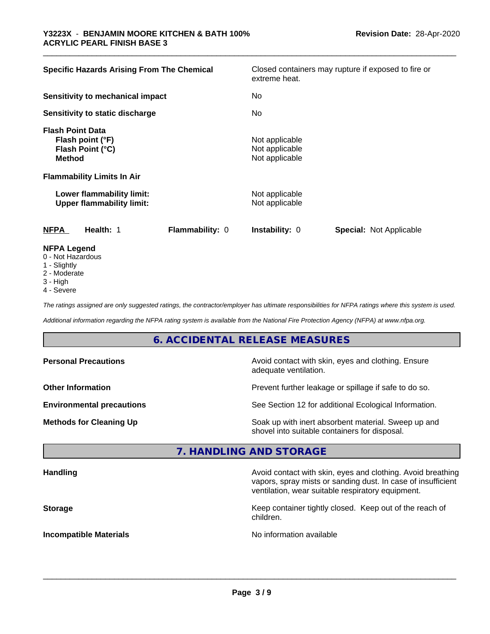| <b>Specific Hazards Arising From The Chemical</b>                                                  |                 | extreme heat.                                      | Closed containers may rupture if exposed to fire or |
|----------------------------------------------------------------------------------------------------|-----------------|----------------------------------------------------|-----------------------------------------------------|
| Sensitivity to mechanical impact                                                                   |                 | No                                                 |                                                     |
| Sensitivity to static discharge                                                                    |                 | No.                                                |                                                     |
| <b>Flash Point Data</b><br>Flash point (°F)<br>Flash Point (°C)<br><b>Method</b>                   |                 | Not applicable<br>Not applicable<br>Not applicable |                                                     |
| <b>Flammability Limits In Air</b><br>Lower flammability limit:<br><b>Upper flammability limit:</b> |                 | Not applicable<br>Not applicable                   |                                                     |
| <b>NFPA</b><br>Health: 1                                                                           | Flammability: 0 | <b>Instability: 0</b>                              | <b>Special: Not Applicable</b>                      |
| <b>NFPA Legend</b><br>0 - Not Hazardous                                                            |                 |                                                    |                                                     |

- 1 Slightly
- 2 Moderate
- 
- 3 High
- 4 Severe

*The ratings assigned are only suggested ratings, the contractor/employer has ultimate responsibilities for NFPA ratings where this system is used.*

*Additional information regarding the NFPA rating system is available from the National Fire Protection Agency (NFPA) at www.nfpa.org.*

### **6. ACCIDENTAL RELEASE MEASURES**

| <b>Personal Precautions</b>      | Avoid contact with skin, eyes and clothing. Ensure<br>adequate ventilation.                          |
|----------------------------------|------------------------------------------------------------------------------------------------------|
| <b>Other Information</b>         | Prevent further leakage or spillage if safe to do so.                                                |
| <b>Environmental precautions</b> | See Section 12 for additional Ecological Information.                                                |
| <b>Methods for Cleaning Up</b>   | Soak up with inert absorbent material. Sweep up and<br>shovel into suitable containers for disposal. |

### **7. HANDLING AND STORAGE**

| <b>Handling</b>               | Avoid contact with skin, eyes and clothing. Avoid breathing<br>vapors, spray mists or sanding dust. In case of insufficient<br>ventilation, wear suitable respiratory equipment. |
|-------------------------------|----------------------------------------------------------------------------------------------------------------------------------------------------------------------------------|
| <b>Storage</b>                | Keep container tightly closed. Keep out of the reach of<br>children.                                                                                                             |
| <b>Incompatible Materials</b> | No information available                                                                                                                                                         |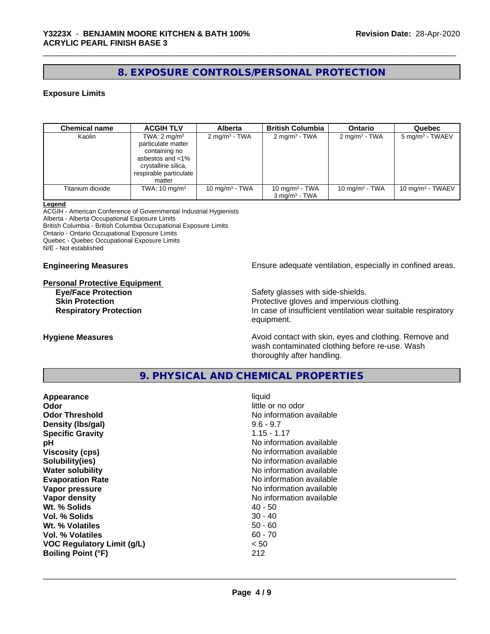### **8. EXPOSURE CONTROLS/PERSONAL PROTECTION**

### **Exposure Limits**

| <b>Chemical name</b> | <b>ACGIH TLV</b>                                                                                                                              | <b>Alberta</b>           | <b>British Columbia</b>                       | <b>Ontario</b>           | Quebec                     |
|----------------------|-----------------------------------------------------------------------------------------------------------------------------------------------|--------------------------|-----------------------------------------------|--------------------------|----------------------------|
| Kaolin               | TWA: $2 \text{ mg/m}^3$<br>particulate matter<br>containing no<br>asbestos and <1%<br>crystalline silica,<br>respirable particulate<br>matter | $2 \text{ mg/m}^3$ - TWA | $2 \text{ mg/m}^3$ - TWA                      | $2 \text{ mg/m}^3$ - TWA | $5 \text{ mg/m}^3$ - TWAEV |
| Titanium dioxide     | TWA: $10 \text{ mg/m}^3$                                                                                                                      | 10 mg/m $3$ - TWA        | 10 mg/m $3$ - TWA<br>$3 \text{ ma/m}^3$ - TWA | 10 mg/m $3$ - TWA        | 10 mg/m $3$ - TWAEV        |

#### **Legend**

ACGIH - American Conference of Governmental Industrial Hygienists Alberta - Alberta Occupational Exposure Limits British Columbia - British Columbia Occupational Exposure Limits Ontario - Ontario Occupational Exposure Limits Quebec - Quebec Occupational Exposure Limits N/E - Not established

# **Personal Protective Equipment**

**Engineering Measures Ensure** Ensure adequate ventilation, especially in confined areas.

**Eye/Face Protection**<br> **Safety glasses with side-shields.**<br> **Skin Protection**<br> **Safety glasses with side-shields.** Protective gloves and impervious clothing. **Respiratory Protection In case of insufficient ventilation wear suitable respiratory** equipment.

**Hygiene Measures Avoid contact with skin, eyes and clothing. Remove and Hygiene Measures Avoid contact with skin, eyes and clothing. Remove and** wash contaminated clothing before re-use. Wash thoroughly after handling.

### **9. PHYSICAL AND CHEMICAL PROPERTIES**

| liquid<br>Appearance<br>Odor<br><b>Odor Threshold</b><br>$9.6 - 9.7$<br>Density (Ibs/gal)<br>$1.15 - 1.17$<br><b>Specific Gravity</b><br>рH<br><b>Viscosity (cps)</b><br>Solubility(ies)<br><b>Water solubility</b><br><b>Evaporation Rate</b><br>Vapor pressure<br>Vapor density<br>Wt. % Solids<br>$40 - 50$<br>Vol. % Solids<br>$30 - 40$<br>Wt. % Volatiles<br>$50 - 60$<br>$60 - 70$<br><b>Vol. % Volatiles</b><br>< 50<br><b>VOC Regulatory Limit (g/L)</b><br><b>Boiling Point (°F)</b><br>212 | little or no odor<br>No information available<br>No information available<br>No information available<br>No information available<br>No information available<br>No information available<br>No information available<br>No information available |
|-------------------------------------------------------------------------------------------------------------------------------------------------------------------------------------------------------------------------------------------------------------------------------------------------------------------------------------------------------------------------------------------------------------------------------------------------------------------------------------------------------|---------------------------------------------------------------------------------------------------------------------------------------------------------------------------------------------------------------------------------------------------|
|-------------------------------------------------------------------------------------------------------------------------------------------------------------------------------------------------------------------------------------------------------------------------------------------------------------------------------------------------------------------------------------------------------------------------------------------------------------------------------------------------------|---------------------------------------------------------------------------------------------------------------------------------------------------------------------------------------------------------------------------------------------------|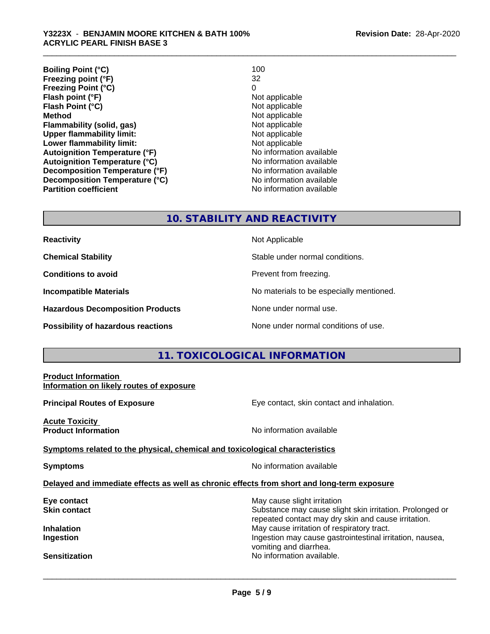| <b>Boiling Point (°C)</b>            | 100                      |
|--------------------------------------|--------------------------|
| Freezing point (°F)                  | 32                       |
| <b>Freezing Point (°C)</b>           | 0                        |
| Flash point (°F)                     | Not applicable           |
| Flash Point (°C)                     | Not applicable           |
| <b>Method</b>                        | Not applicable           |
| Flammability (solid, gas)            | Not applicable           |
| <b>Upper flammability limit:</b>     | Not applicable           |
| Lower flammability limit:            | Not applicable           |
| <b>Autoignition Temperature (°F)</b> | No information available |
| <b>Autoignition Temperature (°C)</b> | No information available |
| Decomposition Temperature (°F)       | No information available |
| Decomposition Temperature (°C)       | No information available |
| <b>Partition coefficient</b>         | No information available |

### **10. STABILITY AND REACTIVITY**

| <b>Reactivity</b> |
|-------------------|
|-------------------|

**Hazardous Decomposition Products** None under normal use.

**Not Applicable** 

**Chemical Stability Chemical Stability** Stable under normal conditions.

**Conditions to avoid Conditions reading**.

**Incompatible Materials No materials** No materials to be especially mentioned.

**Possibility of hazardous reactions** None under normal conditions of use.

### **11. TOXICOLOGICAL INFORMATION**

| <b>Product Information</b><br>Information on likely routes of exposure                     |                                                                                                                                                |
|--------------------------------------------------------------------------------------------|------------------------------------------------------------------------------------------------------------------------------------------------|
| <b>Principal Routes of Exposure</b>                                                        | Eye contact, skin contact and inhalation.                                                                                                      |
| <b>Acute Toxicity</b><br><b>Product Information</b>                                        | No information available                                                                                                                       |
| Symptoms related to the physical, chemical and toxicological characteristics               |                                                                                                                                                |
| <b>Symptoms</b>                                                                            | No information available                                                                                                                       |
| Delayed and immediate effects as well as chronic effects from short and long-term exposure |                                                                                                                                                |
| Eye contact<br>Skin contact                                                                | May cause slight irritation<br>Substance may cause slight skin irritation. Prolonged or<br>repeated contact may dry skin and cause irritation. |
| Inhalation<br>Ingestion                                                                    | May cause irritation of respiratory tract.<br>Ingestion may cause gastrointestinal irritation, nausea,<br>vomiting and diarrhea.               |
| <b>Sensitization</b>                                                                       | No information available.                                                                                                                      |
|                                                                                            |                                                                                                                                                |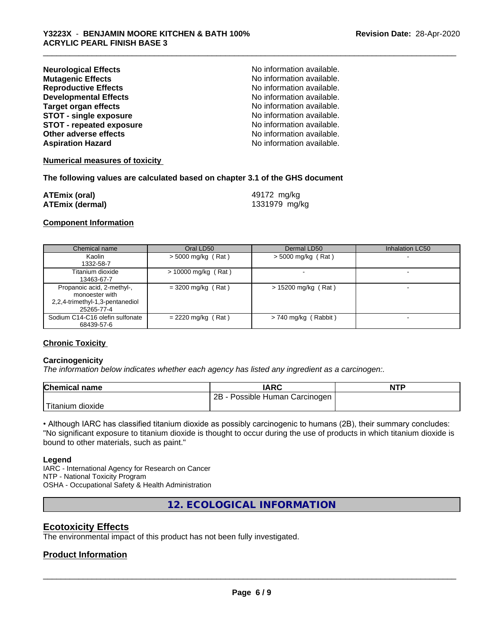| <b>Neurological Effects</b>     | No information available. |
|---------------------------------|---------------------------|
| <b>Mutagenic Effects</b>        | No information available. |
| <b>Reproductive Effects</b>     | No information available. |
| <b>Developmental Effects</b>    | No information available. |
| <b>Target organ effects</b>     | No information available. |
| <b>STOT - single exposure</b>   | No information available. |
| <b>STOT - repeated exposure</b> | No information available. |
| Other adverse effects           | No information available. |
| <b>Aspiration Hazard</b>        | No information available. |

### **Numerical measures of toxicity**

### **The following values are calculated based on chapter 3.1 of the GHS document**

| <b>ATEmix (oral)</b>   | 49172 mg/kg   |
|------------------------|---------------|
| <b>ATEmix (dermal)</b> | 1331979 mg/kg |

### **Component Information**

| Chemical name                                                                                 | Oral LD50             | Dermal LD50            | Inhalation LC50 |
|-----------------------------------------------------------------------------------------------|-----------------------|------------------------|-----------------|
| Kaolin<br>1332-58-7                                                                           | $>$ 5000 mg/kg (Rat)  | $>$ 5000 mg/kg (Rat)   |                 |
| Titanium dioxide<br>13463-67-7                                                                | $> 10000$ mg/kg (Rat) | $\sim$                 |                 |
| Propanoic acid, 2-methyl-,<br>monoester with<br>2,2,4-trimethyl-1,3-pentanediol<br>25265-77-4 | $= 3200$ mg/kg (Rat)  | $> 15200$ mg/kg (Rat)  |                 |
| Sodium C14-C16 olefin sulfonate<br>68439-57-6                                                 | $= 2220$ mg/kg (Rat)  | $> 740$ mg/kg (Rabbit) |                 |

### **Chronic Toxicity**

### **Carcinogenicity**

*The information below indicateswhether each agency has listed any ingredient as a carcinogen:.*

| <b>Chemical name</b> | <b>IARC</b>                     | <b>NTP</b> |
|----------------------|---------------------------------|------------|
|                      | 2B<br>Possible Human Carcinogen |            |
| 'Titanium<br>dioxide |                                 |            |

• Although IARC has classified titanium dioxide as possibly carcinogenic to humans (2B), their summary concludes: "No significant exposure to titanium dioxide is thought to occur during the use of products in which titanium dioxide is bound to other materials, such as paint."

#### **Legend**

IARC - International Agency for Research on Cancer NTP - National Toxicity Program OSHA - Occupational Safety & Health Administration

**12. ECOLOGICAL INFORMATION**

### **Ecotoxicity Effects**

The environmental impact of this product has not been fully investigated.

### **Product Information**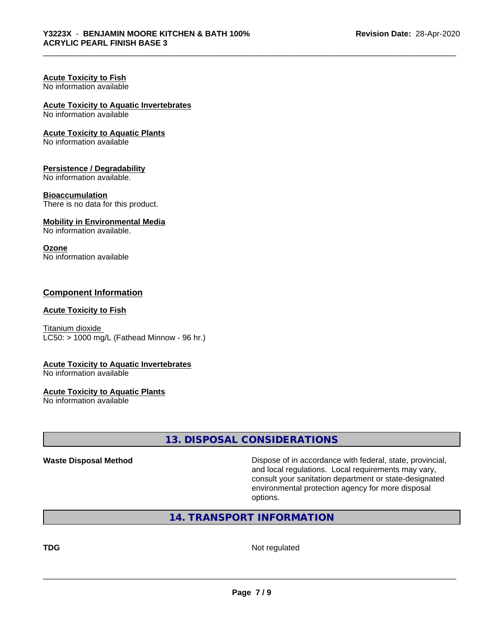#### **Acute Toxicity to Fish** No information available

## **Acute Toxicity to Aquatic Invertebrates**

No information available

### **Acute Toxicity to Aquatic Plants**

No information available

### **Persistence / Degradability**

No information available.

### **Bioaccumulation**

There is no data for this product.

### **Mobility in Environmental Media**

No information available.

### **Ozone**

No information available

### **Component Information**

### **Acute Toxicity to Fish**

Titanium dioxide  $LC50:$  > 1000 mg/L (Fathead Minnow - 96 hr.)

### **Acute Toxicity to Aquatic Invertebrates**

No information available

### **Acute Toxicity to Aquatic Plants**

No information available

### **13. DISPOSAL CONSIDERATIONS**

**Waste Disposal Method Dispose of in accordance with federal, state, provincial,** and local regulations. Local requirements may vary, consult your sanitation department or state-designated environmental protection agency for more disposal options.

### **14. TRANSPORT INFORMATION**

**TDG** Not regulated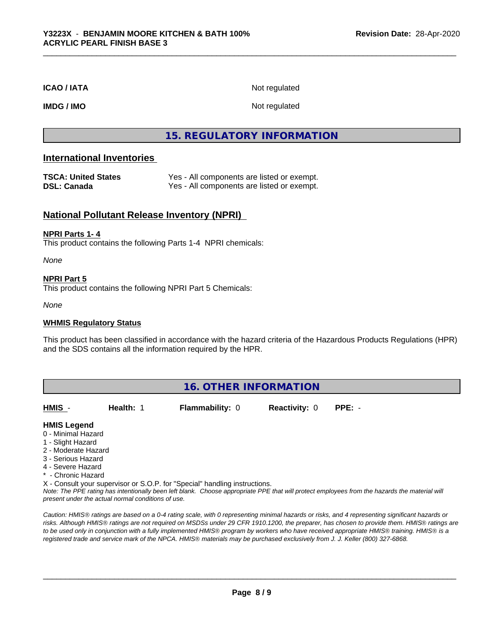### **ICAO / IATA** Not regulated

**IMDG / IMO** Not regulated

### **15. REGULATORY INFORMATION**

### **International Inventories**

| <b>TSCA: United States</b> | Yes - All components are listed or exempt. |
|----------------------------|--------------------------------------------|
| DSL: Canada                | Yes - All components are listed or exempt. |

### **National Pollutant Release Inventory (NPRI)**

### **NPRI Parts 1- 4**

This product contains the following Parts 1-4 NPRI chemicals:

*None*

### **NPRI Part 5**

This product contains the following NPRI Part 5 Chemicals:

*None*

### **WHMIS Regulatory Status**

This product has been classified in accordance with the hazard criteria of the Hazardous Products Regulations (HPR) and the SDS contains all the information required by the HPR.

### **16. OTHER INFORMATION**

**HMIS** - **Health:** 1 **Flammability:** 0 **Reactivity:** 0 **PPE:** -

### **HMIS Legend**

- 0 Minimal Hazard
- 1 Slight Hazard
- 2 Moderate Hazard
- 3 Serious Hazard
- 4 Severe Hazard
- \* Chronic Hazard
- X Consult your supervisor or S.O.P. for "Special" handling instructions.

*Note: The PPE rating has intentionally been left blank. Choose appropriate PPE that will protect employees from the hazards the material will present under the actual normal conditions of use.*

*Caution: HMISÒ ratings are based on a 0-4 rating scale, with 0 representing minimal hazards or risks, and 4 representing significant hazards or risks. Although HMISÒ ratings are not required on MSDSs under 29 CFR 1910.1200, the preparer, has chosen to provide them. HMISÒ ratings are to be used only in conjunction with a fully implemented HMISÒ program by workers who have received appropriate HMISÒ training. HMISÒ is a registered trade and service mark of the NPCA. HMISÒ materials may be purchased exclusively from J. J. Keller (800) 327-6868.*